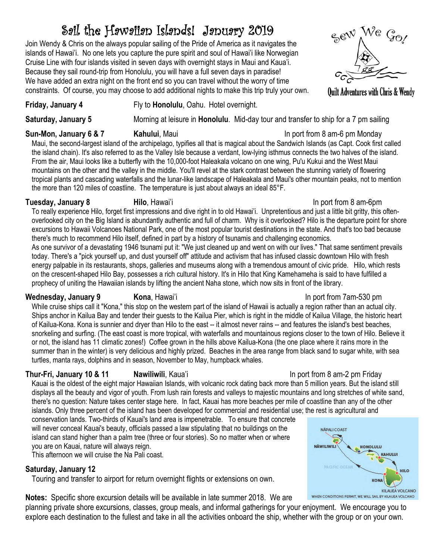# Sail the Hawaiian Islands! January 2019

Join Wendy & Chris on the always popular sailing of the Pride of America as it navigates the islands of Hawai'i. No one lets you capture the pure spirit and soul of Hawai'i like Norwegian Cruise Line with four islands visited in seven days with overnight stays in Maui and Kaua'i. Because they sail round-trip from Honolulu, you will have a full seven days in paradise! We have added an extra night on the front end so you can travel without the worry of time constraints. Of course, you may choose to add additional nights to make this trip truly your own.



**Quilt Adventures with Chris & Wendy** 

## **Friday, January 4** Fly to **Honolulu**, Oahu. Hotel overnight.

**Saturday, January 5** Morning at leisure in **Honolulu**. Mid-day tour and transfer to ship for a 7 pm sailing

## **Sun-Mon, January 6 & 7 Kahului**, Maui **In port from 8 am-6 pm Monday**

Maui, the second-largest island of the archipelago, typifies all that is magical about the Sandwich Islands (as Capt. Cook first called the island chain). It's also referred to as the Valley Isle because a verdant, low-lying isthmus connects the two halves of the island. From the air, Maui looks like a butterfly with the 10,000-foot Haleakala volcano on one wing, Pu'u Kukui and the West Maui mountains on the other and the valley in the middle. You'll revel at the stark contrast between the stunning variety of flowering tropical plants and cascading waterfalls and the lunar-like landscape of Haleakala and Maui's other mountain peaks, not to mention the more than 120 miles of coastline. The temperature is just about always an ideal 85°F.

## **Tuesday, January 8 <b>Hilo**, Hawai'i **In port from 8 am-6pm**

To really experience Hilo, forget first impressions and dive right in to old Hawai'i. Unpretentious and just a little bit gritty, this oftenoverlooked city on the Big Island is abundantly authentic and full of charm. Why is it overlooked? Hilo is the departure point for shore excursions to Hawaii Volcanoes National Park, one of the most popular tourist destinations in the state. And that's too bad because there's much to recommend Hilo itself, defined in part by a history of tsunamis and challenging economics.

As one survivor of a devastating 1946 tsunami put it: "We just cleaned up and went on with our lives." That same sentiment prevails today. There's a "pick yourself up, and dust yourself off" attitude and activism that has infused classic downtown Hilo with fresh energy palpable in its restaurants, shops, galleries and museums along with a tremendous amount of civic pride. Hilo, which rests on the crescent-shaped Hilo Bay, possesses a rich cultural history. It's in Hilo that King Kamehameha is said to have fulfilled a prophecy of uniting the Hawaiian islands by lifting the ancient Naha stone, which now sits in front of the library.

## **Wednesday, January 9 Kona**, Hawai'i In port from 7am-530 pm

While cruise ships call it "Kona," this stop on the western part of the island of Hawaii is actually a region rather than an actual city. Ships anchor in Kailua Bay and tender their guests to the Kailua Pier, which is right in the middle of Kailua Village, the historic heart of Kailua-Kona. Kona is sunnier and dryer than Hilo to the east -- it almost never rains -- and features the island's best beaches, snorkeling and surfing. (The east coast is more tropical, with waterfalls and mountainous regions closer to the town of Hilo. Believe it or not, the island has 11 climatic zones!) Coffee grown in the hills above Kailua-Kona (the one place where it rains more in the summer than in the winter) is very delicious and highly prized. Beaches in the area range from black sand to sugar white, with sea turtles, manta rays, dolphins and in season, November to May, humpback whales.

## **Thur-Fri, January 10 & 11 Mawiliwili**, Kaua'i **International Component Component Friday** In port from 8 am-2 pm Friday

Kauai is the oldest of the eight major Hawaiian Islands, with volcanic rock dating back more than 5 million years. But the island still displays all the beauty and vigor of youth. From lush rain forests and valleys to majestic mountains and long stretches of white sand, there's no question: Nature takes center stage here. In fact, Kauai has more beaches per mile of coastline than any of the other islands. Only three percent of the island has been developed for commercial and residential use; the rest is agricultural and

explore each destination to the fullest and take in all the activities onboard the ship, whether with the group or on your own.

conservation lands. Two-thirds of Kauai's land area is impenetrable. To ensure that concrete will never conceal Kauai's beauty, officials passed a law stipulating that no buildings on the island can stand higher than a palm tree (three or four stories). So no matter when or where you are on Kauai, nature will always reign.

This afternoon we will cruise the Na Pali coast.

## **Saturday, January 12**

Touring and transfer to airport for return overnight flights or extensions on own.

**Notes:** Specific shore excursion details will be available in late summer 2018. We are planning private shore excursions, classes, group meals, and informal gatherings for your enjoyment. We encourage you to

### NÅPALI COAST س **NÄWILIWILI HONOLULU** KAHULUI HILO **KONA KILAUEA VOLCANO** WHEN CONDITIONS PERMIT, WE WILL SAIL BY KILAUEA VOLCANO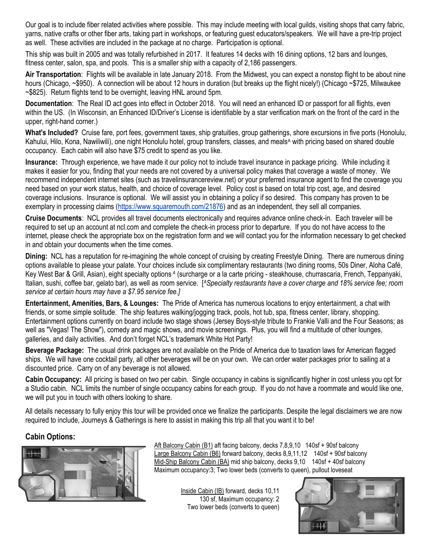Our goal is to include fiber related activities where possible. This may include meeting with local guilds, visiting shops that carry fabric, yarns, native crafts or other fiber arts, taking part in workshops, or featuring guest educators/speakers. We will have a pre-trip project as well. These activities are included in the package at no charge. Participation is optional.

This ship was built in 2005 and was totally refurbished in 2017. It features 14 decks with 16 dining options, 12 bars and lounges, fitness center, salon, spa, and pools. This is a smaller ship with a capacity of 2,186 passengers.

**Air Transportation**: Flights will be available in late January 2018. From the Midwest, you can expect a nonstop flight to be about nine hours (Chicago, ~\$950). A connection will be about 12 hours in duration (but breaks up the flight nicely!) (Chicago ~\$725, Milwaukee ~\$825). Return flights tend to be overnight, leaving HNL around 5pm.

**Documentation**: The Real ID act goes into effect in October 2018. You will need an enhanced ID or passport for all flights, even within the US. (In Wisconsin, an Enhanced ID/Driver's License is identifiable by a star verification mark on the front of the card in the upper, right-hand corner.)

**What's Included?** Cruise fare, port fees, government taxes, ship gratuities, group gatherings, shore excursions in five ports (Honolulu, Kahului, Hilo, Kona, Nawiliwili), one night Honolulu hotel, group transfers, classes, and meals<sup>A</sup> with pricing based on shared double occupancy. Each cabin will also have \$75 credit to spend as you like.

**Insurance:** Through experience, we have made it our policy not to include travel insurance in package pricing. While including it makes it easier for you, finding that your needs are not covered by a universal policy makes that coverage a waste of money. We recommend independent internet sites (such as travelinsurancereview.net) or your preferred insurance agent to find the coverage you need based on your work status, health, and choice of coverage level. Policy cost is based on total trip cost, age, and desired coverage inclusions. Insurance is optional. We will assist you in obtaining a policy if so desired. This company has proven to be exemplary in processing claims (https://www.squaremouth.com/21876) and as an independent, they sell all companies.

**Cruise Documents**: NCL provides all travel documents electronically and requires advance online check-in. Each traveler will be required to set up an account at ncl.com and complete the check-in process prior to departure. If you do not have access to the internet, please check the appropriate box on the registration form and we will contact you for the information necessary to get checked in and obtain your documents when the time comes.

**Dining:** NCL has a reputation for re-imagining the whole concept of cruising by creating Freestyle Dining. There are numerous dining options available to please your palate. Your choices include six complimentary restaurants (two dining rooms, 50s Diner, Aloha Café, Key West Bar & Grill, Asian), eight specialty options <sup>A</sup> (surcharge or a la carte pricing - steakhouse, churrascaria, French, Teppanyaki, Italian, sushi, coffee bar, gelato bar), as well as room service. [*ASpecialty restaurants have a cover charge and 18% service fee; room service at certain hours may have a \$7.95 service fee.]*

**Entertainment, Amenities, Bars, & Lounges:** The Pride of America has numerous locations to enjoy entertainment, a chat with friends, or some simple solitude. The ship features walking/jogging track, pools, hot tub, spa, fitness center, library, shopping. Entertainment options currently on board include two stage shows (Jersey Boys-style tribute to Frankie Valli and the Four Seasons; as well as "Vegas! The Show"), comedy and magic shows, and movie screenings. Plus, you will find a multitude of other lounges, galleries, and daily activities. And don't forget NCL's trademark White Hot Party!

**Beverage Package:** The usual drink packages are not available on the Pride of America due to taxation laws for American flagged ships. We will have one cocktail party, all other beverages will be on your own. We can order water packages prior to sailing at a discounted price. Carry on of any beverage is not allowed.

**Cabin Occupancy:** All pricing is based on two per cabin. Single occupancy in cabins is significantly higher in cost unless you opt for a Studio cabin. NCL limits the number of single occupancy cabins for each group. If you do not have a roommate and would like one, we will put you in touch with others looking to share.

All details necessary to fully enjoy this tour will be provided once we finalize the participants. Despite the legal disclaimers we are now required to include, Journeys & Gatherings is here to assist in making this trip all that you want it to be!

## **Cabin Options:**



Aft Balcony Cabin (B1) aft facing balcony, decks 7,8,9,10 140sf + 90sf balcony Large Balcony Cabin (B6) forward balcony, decks 8,9,11,12 140sf + 90sf balcony Mid-Ship Balcony Cabin (BA) mid ship balcony, decks 9,10 140sf + 40sf balcony Maximum occupancy:3; Two lower beds (converts to queen), pullout loveseat

> Inside Cabin (IB) forward, decks 10,11 130 sf, Maximum occupancy: 2 Two lower beds (converts to queen)

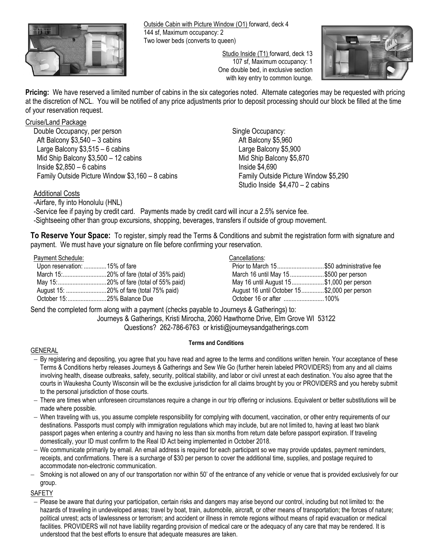

Outside Cabin with Picture Window (O1) forward, deck 4 144 sf, Maximum occupancy: 2 Two lower beds (converts to queen)

> Studio Inside (T1) forward, deck 13 107 sf, Maximum occupancy: 1 One double bed, in exclusive section with key entry to common lounge.



**Pricing:** We have reserved a limited number of cabins in the six categories noted. Alternate categories may be requested with pricing at the discretion of NCL. You will be notified of any price adjustments prior to deposit processing should our block be filled at the time of your reservation request.

### Cruise/Land Package

Double Occupancy, per person Aft Balcony \$3,540 – 3 cabins Large Balcony \$3,515 – 6 cabins Mid Ship Balcony \$3,500 – 12 cabins Inside  $$2,850 - 6$  cabins Family Outside Picture Window \$3,160 – 8 cabins Single Occupancy: Aft Balcony \$5,960 Large Balcony \$5,900 Mid Ship Balcony \$5,870 Inside \$4,690 Family Outside Picture Window \$5,290 Studio Inside \$4,470 – 2 cabins

### Additional Costs

-Airfare, fly into Honolulu (HNL)

-Service fee if paying by credit card. Payments made by credit card will incur a 2.5% service fee.

-Sightseeing other than group excursions, shopping, beverages, transfers if outside of group movement.

**To Reserve Your Space:** To register, simply read the Terms & Conditions and submit the registration form with signature and payment. We must have your signature on file before confirming your reservation.

#### Payment Schedule:

| Upon reservation:  15% of fare |
|--------------------------------|
|                                |
|                                |
|                                |
| October 15:  25% Balance Due   |
|                                |

#### Cancellations:

| Prior to March 15\$50 administrative fee     |  |
|----------------------------------------------|--|
| March 16 until May 15 \$500 per person       |  |
| May 16 until August 15\$1,000 per person     |  |
| August 16 until October 15\$2,000 per person |  |
| October 16 or after 100%                     |  |

Send the completed form along with a payment (checks payable to Journeys & Gatherings) to:

Journeys & Gatherings, Kristi Mirocha, 2060 Hawthorne Drive, Elm Grove WI 53122

Questions? 262-786-6763 or kristi@journeysandgatherings.com

### **Terms and Conditions**

#### GENERAL

- By registering and depositing, you agree that you have read and agree to the terms and conditions written herein. Your acceptance of these Terms & Conditions herby releases Journeys & Gatherings and Sew We Go (further herein labeled PROVIDERS) from any and all claims involving health, disease outbreaks, safety, security, political stability, and labor or civil unrest at each destination. You also agree that the courts in Waukesha County Wisconsin will be the exclusive jurisdiction for all claims brought by you or PROVIDERS and you hereby submit to the personal jurisdiction of those courts.
- There are times when unforeseen circumstances require a change in our trip offering or inclusions. Equivalent or better substitutions will be made where possible.
- When traveling with us, you assume complete responsibility for complying with document, vaccination, or other entry requirements of our destinations. Passports must comply with immigration regulations which may include, but are not limited to, having at least two blank passport pages when entering a country and having no less than six months from return date before passport expiration. If traveling domestically, your ID must confirm to the Real ID Act being implemented in October 2018.
- We communicate primarily by email. An email address is required for each participant so we may provide updates, payment reminders, receipts, and confirmations. There is a surcharge of \$30 per person to cover the additional time, supplies, and postage required to accommodate non-electronic communication.
- Smoking is not allowed on any of our transportation nor within 50' of the entrance of any vehicle or venue that is provided exclusively for our group.

SAFETY

 Please be aware that during your participation, certain risks and dangers may arise beyond our control, including but not limited to: the hazards of traveling in undeveloped areas; travel by boat, train, automobile, aircraft, or other means of transportation; the forces of nature; political unrest; acts of lawlessness or terrorism; and accident or illness in remote regions without means of rapid evacuation or medical facilities. PROVIDERS will not have liability regarding provision of medical care or the adequacy of any care that may be rendered. It is understood that the best efforts to ensure that adequate measures are taken.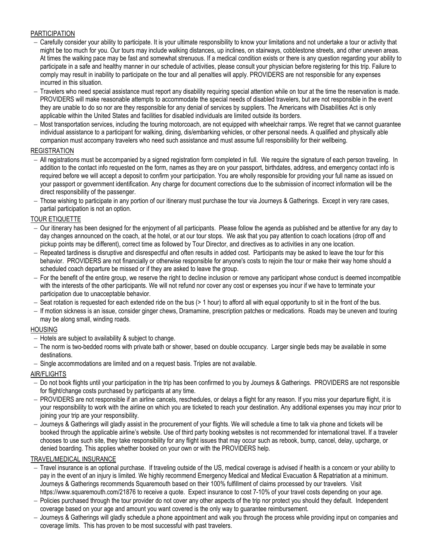#### PARTICIPATION

- Carefully consider your ability to participate. It is your ultimate responsibility to know your limitations and not undertake a tour or activity that might be too much for you. Our tours may include walking distances, up inclines, on stairways, cobblestone streets, and other uneven areas. At times the walking pace may be fast and somewhat strenuous. If a medical condition exists or there is any question regarding your ability to participate in a safe and healthy manner in our schedule of activities, please consult your physician before registering for this trip. Failure to comply may result in inability to participate on the tour and all penalties will apply. PROVIDERS are not responsible for any expenses incurred in this situation.
- Travelers who need special assistance must report any disability requiring special attention while on tour at the time the reservation is made. PROVIDERS will make reasonable attempts to accommodate the special needs of disabled travelers, but are not responsible in the event they are unable to do so nor are they responsible for any denial of services by suppliers. The Americans with Disabilities Act is only applicable within the United States and facilities for disabled individuals are limited outside its borders.
- $-$  Most transportation services, including the touring motorcoach, are not equipped with wheelchair ramps. We regret that we cannot guarantee individual assistance to a participant for walking, dining, dis/embarking vehicles, or other personal needs. A qualified and physically able companion must accompany travelers who need such assistance and must assume full responsibility for their wellbeing.

#### REGISTRATION

- All registrations must be accompanied by a signed registration form completed in full. We require the signature of each person traveling. In addition to the contact info requested on the form, names as they are on your passport, birthdates, address, and emergency contact info is required before we will accept a deposit to confirm your participation. You are wholly responsible for providing your full name as issued on your passport or government identification. Any charge for document corrections due to the submission of incorrect information will be the direct responsibility of the passenger.
- Those wishing to participate in any portion of our itinerary must purchase the tour via Journeys & Gatherings. Except in very rare cases, partial participation is not an option.

#### TOUR ETIQUETTE

- Our itinerary has been designed for the enjoyment of all participants. Please follow the agenda as published and be attentive for any day to day changes announced on the coach, at the hotel, or at our tour stops. We ask that you pay attention to coach locations (drop off and pickup points may be different), correct time as followed by Tour Director, and directives as to activities in any one location.
- Repeated tardiness is disruptive and disrespectful and often results in added cost. Participants may be asked to leave the tour for this behavior. PROVIDERS are not financially or otherwise responsible for anyone's costs to rejoin the tour or make their way home should a scheduled coach departure be missed or if they are asked to leave the group.
- For the benefit of the entire group, we reserve the right to decline inclusion or remove any participant whose conduct is deemed incompatible with the interests of the other participants. We will not refund nor cover any cost or expenses you incur if we have to terminate your participation due to unacceptable behavior.
- $-$  Seat rotation is requested for each extended ride on the bus (> 1 hour) to afford all with equal opportunity to sit in the front of the bus.
- If motion sickness is an issue, consider ginger chews, Dramamine, prescription patches or medications. Roads may be uneven and touring may be along small, winding roads.

#### HOUSING

- $-$  Hotels are subiect to availability & subject to change.
- The norm is two-bedded rooms with private bath or shower, based on double occupancy. Larger single beds may be available in some destinations.
- Single accommodations are limited and on a request basis. Triples are not available.

#### AIR/FLIGHTS

- Do not book flights until your participation in the trip has been confirmed to you by Journeys & Gatherings. PROVIDERS are not responsible for flight/change costs purchased by participants at any time.
- PROVIDERS are not responsible if an airline cancels, reschedules, or delays a flight for any reason. If you miss your departure flight, it is your responsibility to work with the airline on which you are ticketed to reach your destination. Any additional expenses you may incur prior to joining your trip are your responsibility.
- Journeys & Gatherings will gladly assist in the procurement of your flights. We will schedule a time to talk via phone and tickets will be booked through the applicable airline's website. Use of third party booking websites is not recommended for international travel. If a traveler chooses to use such site, they take responsibility for any flight issues that may occur such as rebook, bump, cancel, delay, upcharge, or denied boarding. This applies whether booked on your own or with the PROVIDERS help.

#### TRAVEL/MEDICAL INSURANCE

- Travel insurance is an optional purchase. If traveling outside of the US, medical coverage is advised if health is a concern or your ability to pay in the event of an injury is limited. We highly recommend Emergency Medical and Medical Evacuation & Repatriation at a minimum. Journeys & Gatherings recommends Squaremouth based on their 100% fulfillment of claims processed by our travelers. Visit https://www.squaremouth.com/21876 to receive a quote. Expect insurance to cost 7-10% of your travel costs depending on your age.
- Policies purchased through the tour provider do not cover any other aspects of the trip nor protect you should they default. Independent coverage based on your age and amount you want covered is the only way to guarantee reimbursement.
- Journeys & Gatherings will gladly schedule a phone appointment and walk you through the process while providing input on companies and coverage limits. This has proven to be most successful with past travelers.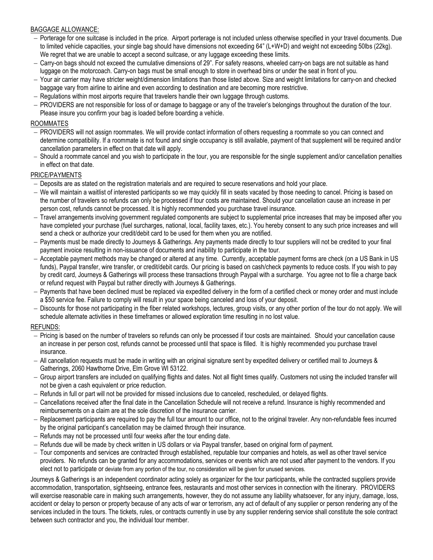### BAGGAGE ALLOWANCE:

- Porterage for one suitcase is included in the price. Airport porterage is not included unless otherwise specified in your travel documents. Due to limited vehicle capacities, your single bag should have dimensions not exceeding 64" (L+W+D) and weight not exceeding 50lbs (22kg). We regret that we are unable to accept a second suitcase, or any luggage exceeding these limits.
- Carry-on bags should not exceed the cumulative dimensions of 29". For safety reasons, wheeled carry-on bags are not suitable as hand luggage on the motorcoach. Carry-on bags must be small enough to store in overhead bins or under the seat in front of you.
- Your air carrier may have stricter weight/dimension limitations than those listed above. Size and weight limitations for carry-on and checked baggage vary from airline to airline and even according to destination and are becoming more restrictive.
- Regulations within most airports require that travelers handle their own luggage through customs.
- PROVIDERS are not responsible for loss of or damage to baggage or any of the traveler's belongings throughout the duration of the tour. Please insure you confirm your bag is loaded before boarding a vehicle.

#### ROOMMATES

- PROVIDERS will not assign roommates. We will provide contact information of others requesting a roommate so you can connect and determine compatibility. If a roommate is not found and single occupancy is still available, payment of that supplement will be required and/or cancellation parameters in effect on that date will apply.
- Should a roommate cancel and you wish to participate in the tour, you are responsible for the single supplement and/or cancellation penalties in effect on that date.

#### PRICE/PAYMENTS

- Deposits are as stated on the registration materials and are required to secure reservations and hold your place.
- We will maintain a waitlist of interested participants so we may quickly fill in seats vacated by those needing to cancel. Pricing is based on the number of travelers so refunds can only be processed if tour costs are maintained. Should your cancellation cause an increase in per person cost, refunds cannot be processed. It is highly recommended you purchase travel insurance.
- Travel arrangements involving government regulated components are subject to supplemental price increases that may be imposed after you have completed your purchase (fuel surcharges, national, local, facility taxes, etc.). You hereby consent to any such price increases and will send a check or authorize your credit/debit card to be used for them when you are notified.
- Payments must be made directly to Journeys & Gatherings. Any payments made directly to tour suppliers will not be credited to your final payment invoice resulting in non-issuance of documents and inability to participate in the tour.
- Acceptable payment methods may be changed or altered at any time. Currently, acceptable payment forms are check (on a US Bank in US funds), Paypal transfer, wire transfer, or credit/debit cards. Our pricing is based on cash/check payments to reduce costs. If you wish to pay by credit card, Journeys & Gatherings will process these transactions through Paypal with a surcharge. You agree not to file a charge back or refund request with Paypal but rather directly with Journeys & Gatherings.
- Payments that have been declined must be replaced via expedited delivery in the form of a certified check or money order and must include a \$50 service fee. Failure to comply will result in your space being canceled and loss of your deposit.
- Discounts for those not participating in the fiber related workshops, lectures, group visits, or any other portion of the tour do not apply. We will schedule alternate activities in these timeframes or allowed exploration time resulting in no lost value.

### REFUNDS:

- Pricing is based on the number of travelers so refunds can only be processed if tour costs are maintained. Should your cancellation cause an increase in per person cost, refunds cannot be processed until that space is filled. It is highly recommended you purchase travel insurance.
- All cancellation requests must be made in writing with an original signature sent by expedited delivery or certified mail to Journeys & Gatherings, 2060 Hawthorne Drive, Elm Grove WI 53122.
- Group airport transfers are included on qualifying flights and dates. Not all flight times qualify. Customers not using the included transfer will not be given a cash equivalent or price reduction.
- $-$  Refunds in full or part will not be provided for missed inclusions due to canceled, rescheduled, or delayed flights.
- Cancellations received after the final date in the Cancellation Schedule will not receive a refund. Insurance is highly recommended and reimbursements on a claim are at the sole discretion of the insurance carrier.
- Replacement participants are required to pay the full tour amount to our office, not to the original traveler. Any non-refundable fees incurred by the original participant's cancellation may be claimed through their insurance.
- Refunds may not be processed until four weeks after the tour ending date.
- Refunds due will be made by check written in US dollars or via Paypal transfer, based on original form of payment.
- Tour components and services are contracted through established, reputable tour companies and hotels, as well as other travel service providers. No refunds can be granted for any accommodations, services or events which are not used after payment to the vendors. If you elect not to participate or deviate from any portion of the tour, no consideration will be given for unused services.

Journeys & Gatherings is an independent coordinator acting solely as organizer for the tour participants, while the contracted suppliers provide accommodation, transportation, sightseeing, entrance fees, restaurants and most other services in connection with the itinerary. PROVIDERS will exercise reasonable care in making such arrangements, however, they do not assume any liability whatsoever, for any injury, damage, loss, accident or delay to person or property because of any acts of war or terrorism, any act of default of any supplier or person rendering any of the services included in the tours. The tickets, rules, or contracts currently in use by any supplier rendering service shall constitute the sole contract between such contractor and you, the individual tour member.